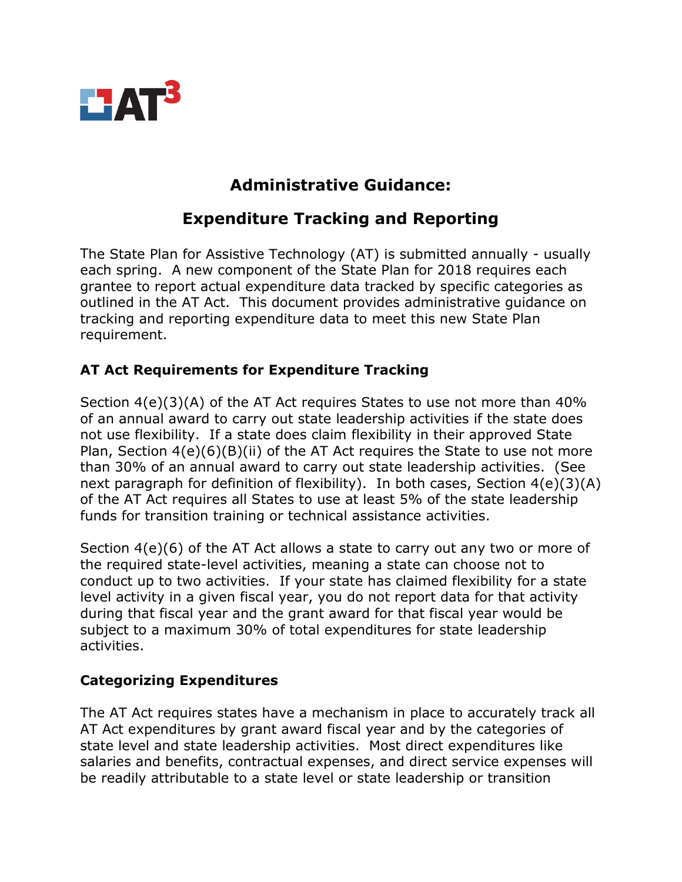

## **Administrative Guidance:**

# **Expenditure Tracking and Reporting**

The State Plan for Assistive Technology (AT) is submitted annually - usually each spring. A new component of the State Plan for 2018 requires each grantee to report actual expenditure data tracked by specific categories as outlined in the AT Act. This document provides administrative guidance on tracking and reporting expenditure data to meet this new State Plan requirement.

## **AT Act Requirements for Expenditure Tracking**

Section 4(e)(3)(A) of the AT Act requires States to use not more than 40% of an annual award to carry out state leadership activities if the state does not use flexibility. If a state does claim flexibility in their approved State Plan, Section 4(e)(6)(B)(ii) of the AT Act requires the State to use not more than 30% of an annual award to carry out state leadership activities. (See next paragraph for definition of flexibility). In both cases, Section 4(e)(3)(A) of the AT Act requires all States to use at least 5% of the state leadership funds for transition training or technical assistance activities.

Section 4(e)(6) of the AT Act allows a state to carry out any two or more of the required state-level activities, meaning a state can choose not to conduct up to two activities. If your state has claimed flexibility for a state level activity in a given fiscal year, you do not report data for that activity during that fiscal year and the grant award for that fiscal year would be subject to a maximum 30% of total expenditures for state leadership activities.

#### **Categorizing Expenditures**

The AT Act requires states have a mechanism in place to accurately track all AT Act expenditures by grant award fiscal year and by the categories of state level and state leadership activities. Most direct expenditures like salaries and benefits, contractual expenses, and direct service expenses will be readily attributable to a state level or state leadership or transition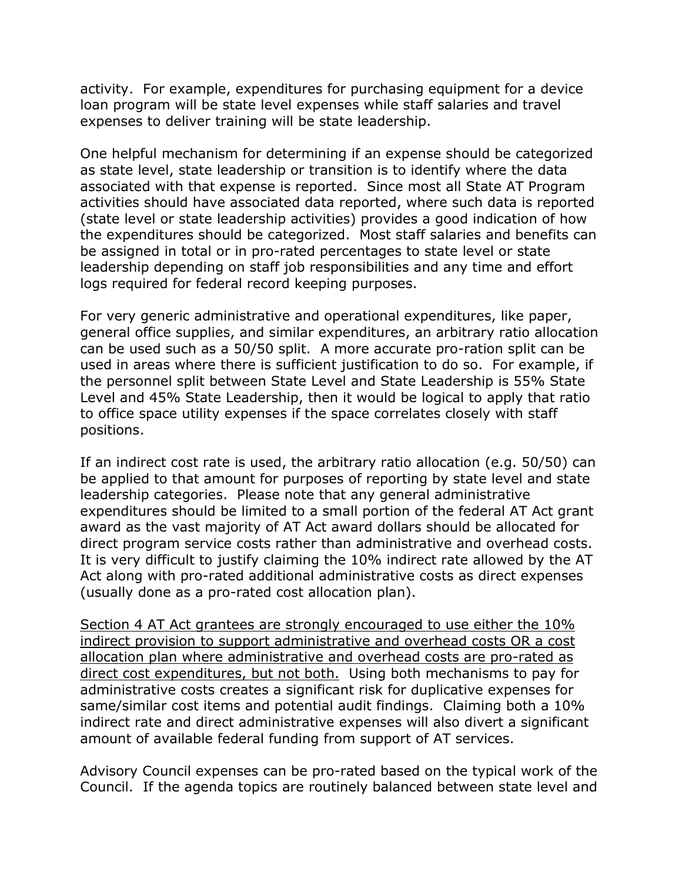activity. For example, expenditures for purchasing equipment for a device loan program will be state level expenses while staff salaries and travel expenses to deliver training will be state leadership.

One helpful mechanism for determining if an expense should be categorized as state level, state leadership or transition is to identify where the data associated with that expense is reported. Since most all State AT Program activities should have associated data reported, where such data is reported (state level or state leadership activities) provides a good indication of how the expenditures should be categorized. Most staff salaries and benefits can be assigned in total or in pro-rated percentages to state level or state leadership depending on staff job responsibilities and any time and effort logs required for federal record keeping purposes.

For very generic administrative and operational expenditures, like paper, general office supplies, and similar expenditures, an arbitrary ratio allocation can be used such as a 50/50 split. A more accurate pro-ration split can be used in areas where there is sufficient justification to do so. For example, if the personnel split between State Level and State Leadership is 55% State Level and 45% State Leadership, then it would be logical to apply that ratio to office space utility expenses if the space correlates closely with staff positions.

If an indirect cost rate is used, the arbitrary ratio allocation (e.g. 50/50) can be applied to that amount for purposes of reporting by state level and state leadership categories. Please note that any general administrative expenditures should be limited to a small portion of the federal AT Act grant award as the vast majority of AT Act award dollars should be allocated for direct program service costs rather than administrative and overhead costs. It is very difficult to justify claiming the 10% indirect rate allowed by the AT Act along with pro-rated additional administrative costs as direct expenses (usually done as a pro-rated cost allocation plan).

Section 4 AT Act grantees are strongly encouraged to use either the 10% indirect provision to support administrative and overhead costs OR a cost allocation plan where administrative and overhead costs are pro-rated as direct cost expenditures, but not both. Using both mechanisms to pay for administrative costs creates a significant risk for duplicative expenses for same/similar cost items and potential audit findings. Claiming both a 10% indirect rate and direct administrative expenses will also divert a significant amount of available federal funding from support of AT services.

Advisory Council expenses can be pro-rated based on the typical work of the Council. If the agenda topics are routinely balanced between state level and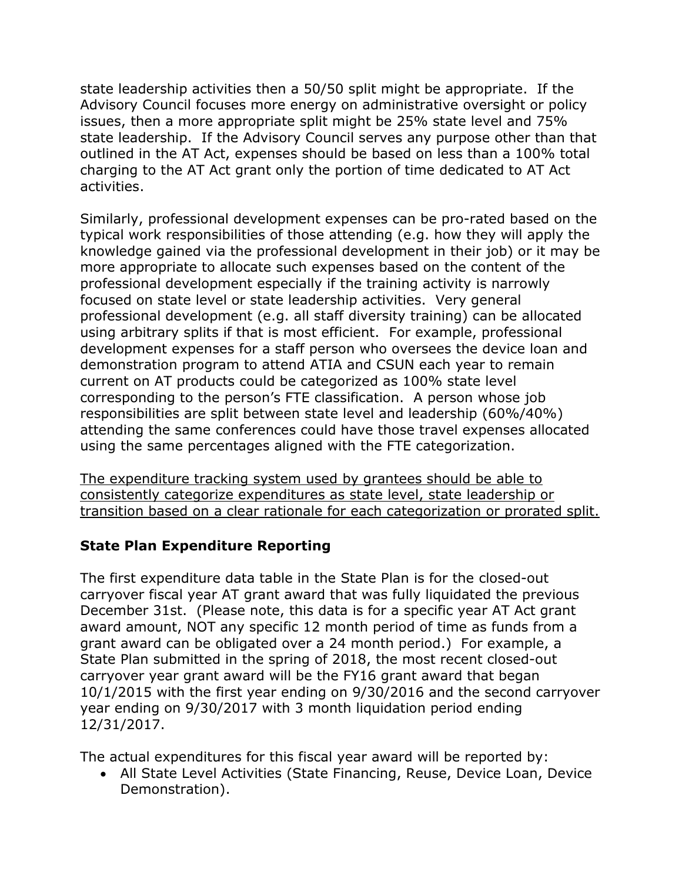state leadership activities then a 50/50 split might be appropriate. If the Advisory Council focuses more energy on administrative oversight or policy issues, then a more appropriate split might be 25% state level and 75% state leadership. If the Advisory Council serves any purpose other than that outlined in the AT Act, expenses should be based on less than a 100% total charging to the AT Act grant only the portion of time dedicated to AT Act activities.

Similarly, professional development expenses can be pro-rated based on the typical work responsibilities of those attending (e.g. how they will apply the knowledge gained via the professional development in their job) or it may be more appropriate to allocate such expenses based on the content of the professional development especially if the training activity is narrowly focused on state level or state leadership activities. Very general professional development (e.g. all staff diversity training) can be allocated using arbitrary splits if that is most efficient. For example, professional development expenses for a staff person who oversees the device loan and demonstration program to attend ATIA and CSUN each year to remain current on AT products could be categorized as 100% state level corresponding to the person's FTE classification. A person whose job responsibilities are split between state level and leadership (60%/40%) attending the same conferences could have those travel expenses allocated using the same percentages aligned with the FTE categorization.

The expenditure tracking system used by grantees should be able to consistently categorize expenditures as state level, state leadership or transition based on a clear rationale for each categorization or prorated split.

## **State Plan Expenditure Reporting**

The first expenditure data table in the State Plan is for the closed-out carryover fiscal year AT grant award that was fully liquidated the previous December 31st. (Please note, this data is for a specific year AT Act grant award amount, NOT any specific 12 month period of time as funds from a grant award can be obligated over a 24 month period.) For example, a State Plan submitted in the spring of 2018, the most recent closed-out carryover year grant award will be the FY16 grant award that began 10/1/2015 with the first year ending on 9/30/2016 and the second carryover year ending on 9/30/2017 with 3 month liquidation period ending 12/31/2017.

The actual expenditures for this fiscal year award will be reported by:

• All State Level Activities (State Financing, Reuse, Device Loan, Device Demonstration).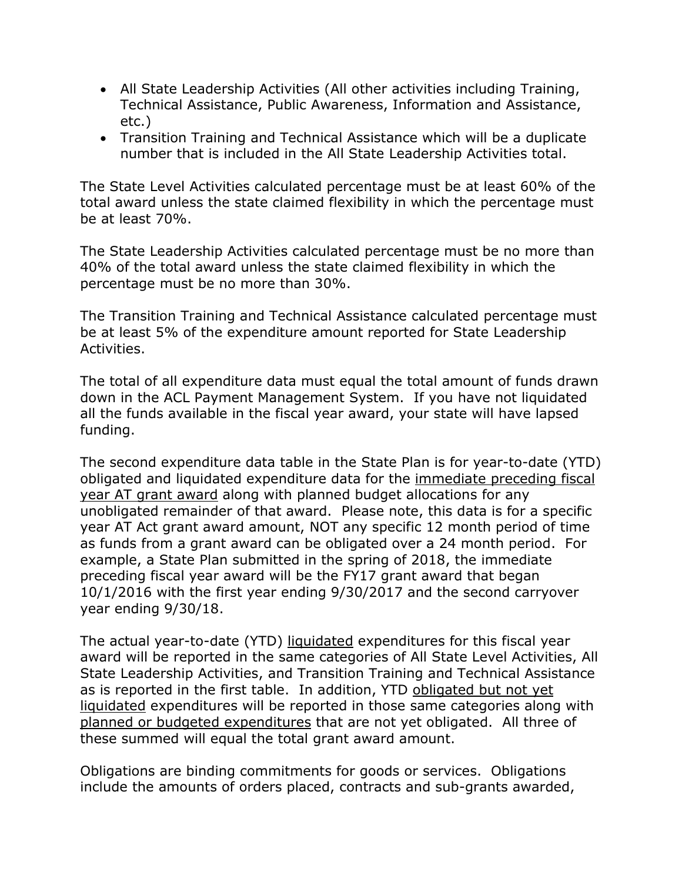- All State Leadership Activities (All other activities including Training, Technical Assistance, Public Awareness, Information and Assistance, etc.)
- Transition Training and Technical Assistance which will be a duplicate number that is included in the All State Leadership Activities total.

The State Level Activities calculated percentage must be at least 60% of the total award unless the state claimed flexibility in which the percentage must be at least 70%.

The State Leadership Activities calculated percentage must be no more than 40% of the total award unless the state claimed flexibility in which the percentage must be no more than 30%.

The Transition Training and Technical Assistance calculated percentage must be at least 5% of the expenditure amount reported for State Leadership Activities.

The total of all expenditure data must equal the total amount of funds drawn down in the ACL Payment Management System. If you have not liquidated all the funds available in the fiscal year award, your state will have lapsed funding.

The second expenditure data table in the State Plan is for year-to-date (YTD) obligated and liquidated expenditure data for the immediate preceding fiscal year AT grant award along with planned budget allocations for any unobligated remainder of that award. Please note, this data is for a specific year AT Act grant award amount, NOT any specific 12 month period of time as funds from a grant award can be obligated over a 24 month period. For example, a State Plan submitted in the spring of 2018, the immediate preceding fiscal year award will be the FY17 grant award that began 10/1/2016 with the first year ending 9/30/2017 and the second carryover year ending 9/30/18.

The actual year-to-date (YTD) liquidated expenditures for this fiscal year award will be reported in the same categories of All State Level Activities, All State Leadership Activities, and Transition Training and Technical Assistance as is reported in the first table. In addition, YTD obligated but not yet liquidated expenditures will be reported in those same categories along with planned or budgeted expenditures that are not yet obligated. All three of these summed will equal the total grant award amount.

Obligations are binding commitments for goods or services. Obligations include the amounts of orders placed, contracts and sub-grants awarded,